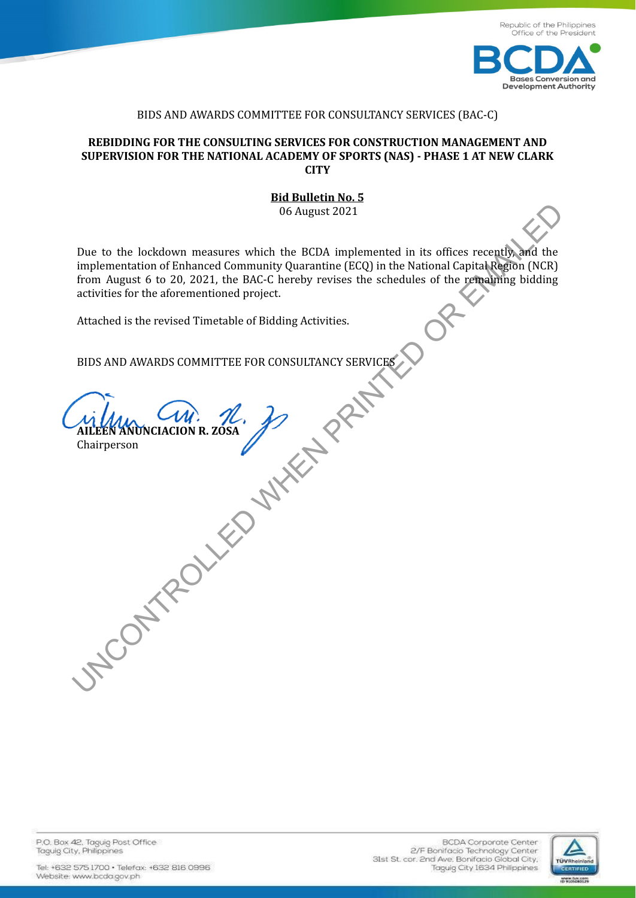

## BIDS AND AWARDS COMMITTEE FOR CONSULTANCY SERVICES (BAC-C)

## **REBIDDING FOR THE CONSULTING SERVICES FOR CONSTRUCTION MANAGEMENT AND SUPERVISION FOR THE NATIONAL ACADEMY OF SPORTS (NAS) - PHASE 1 AT NEW CLARK CITY**

## **Bid Bulletin No. 5** 06 August 2021

Due to the lockdown measures which the BCDA implemented in its offices recently, and the implementation of Enhanced Community Quarantine (ECQ) in the National Capital Region (NCR) from August 6 to 20, 2021, the BAC-C hereby revises the schedules of the remaining bidding activities for the aforementioned project. The to the lockdown measures which the BCDA implemented in its offices recently and the implementation of Enhanced Community Quatamtine (ECQ) in the National Capital Region (NCR) activities for the aforementioned project.<br>

Attached is the revised Timetable of Bidding Activities.

BIDS AND AWARDS COMMITTEE FOR CONSULTANCY SERVICES

**AILEEN ANUNCIACION R. ZOSA**

Chairperson

P.O. Box 42. Taguig Post Office Taguig City, Philippines